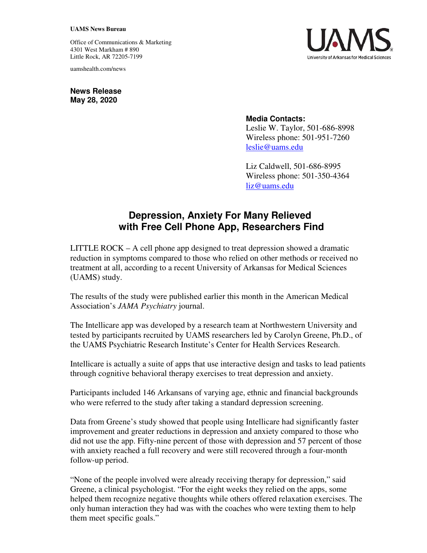## **UAMS News Bureau**

Office of Communications & Marketing 4301 West Markham # 890 Little Rock, AR 72205-7199

uamshealth.com/news

**News Release May 28, 2020**

## **Media Contacts:**

Leslie W. Taylor, 501-686-8998 Wireless phone: 501-951-7260 leslie@uams.edu

Liz Caldwell, 501-686-8995 Wireless phone: 501-350-4364 liz@uams.edu

## **Depression, Anxiety For Many Relieved with Free Cell Phone App, Researchers Find**

LITTLE ROCK – A cell phone app designed to treat depression showed a dramatic reduction in symptoms compared to those who relied on other methods or received no treatment at all, according to a recent University of Arkansas for Medical Sciences (UAMS) study.

The results of the study were published earlier this month in the American Medical Association's *JAMA Psychiatry* journal.

The Intellicare app was developed by a research team at Northwestern University and tested by participants recruited by UAMS researchers led by Carolyn Greene, Ph.D., of the UAMS Psychiatric Research Institute's Center for Health Services Research.

Intellicare is actually a suite of apps that use interactive design and tasks to lead patients through cognitive behavioral therapy exercises to treat depression and anxiety.

Participants included 146 Arkansans of varying age, ethnic and financial backgrounds who were referred to the study after taking a standard depression screening.

Data from Greene's study showed that people using Intellicare had significantly faster improvement and greater reductions in depression and anxiety compared to those who did not use the app. Fifty-nine percent of those with depression and 57 percent of those with anxiety reached a full recovery and were still recovered through a four-month follow-up period.

"None of the people involved were already receiving therapy for depression," said Greene, a clinical psychologist. "For the eight weeks they relied on the apps, some helped them recognize negative thoughts while others offered relaxation exercises. The only human interaction they had was with the coaches who were texting them to help them meet specific goals."